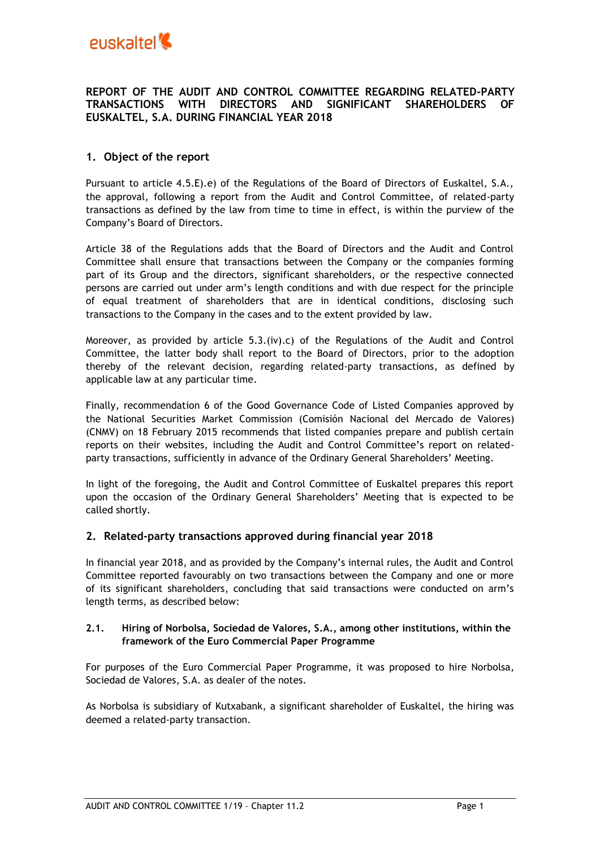### **REPORT OF THE AUDIT AND CONTROL COMMITTEE REGARDING RELATED-PARTY TRANSACTIONS WITH DIRECTORS AND SIGNIFICANT SHAREHOLDERS OF EUSKALTEL, S.A. DURING FINANCIAL YEAR 2018**

# **1. Object of the report**

Pursuant to article 4.5.E).e) of the Regulations of the Board of Directors of Euskaltel, S.A., the approval, following a report from the Audit and Control Committee, of related-party transactions as defined by the law from time to time in effect, is within the purview of the Company's Board of Directors.

Article 38 of the Regulations adds that the Board of Directors and the Audit and Control Committee shall ensure that transactions between the Company or the companies forming part of its Group and the directors, significant shareholders, or the respective connected persons are carried out under arm's length conditions and with due respect for the principle of equal treatment of shareholders that are in identical conditions, disclosing such transactions to the Company in the cases and to the extent provided by law.

Moreover, as provided by article  $5.3$ .(iv).c) of the Regulations of the Audit and Control Committee, the latter body shall report to the Board of Directors, prior to the adoption thereby of the relevant decision, regarding related-party transactions, as defined by applicable law at any particular time.

Finally, recommendation 6 of the Good Governance Code of Listed Companies approved by the National Securities Market Commission (Comisión Nacional del Mercado de Valores) (CNMV) on 18 February 2015 recommends that listed companies prepare and publish certain reports on their websites, including the Audit and Control Committee's report on relatedparty transactions, sufficiently in advance of the Ordinary General Shareholders' Meeting.

In light of the foregoing, the Audit and Control Committee of Euskaltel prepares this report upon the occasion of the Ordinary General Shareholders' Meeting that is expected to be called shortly.

# **2. Related-party transactions approved during financial year 2018**

In financial year 2018, and as provided by the Company's internal rules, the Audit and Control Committee reported favourably on two transactions between the Company and one or more of its significant shareholders, concluding that said transactions were conducted on arm's length terms, as described below:

### **2.1. Hiring of Norbolsa, Sociedad de Valores, S.A., among other institutions, within the framework of the Euro Commercial Paper Programme**

For purposes of the Euro Commercial Paper Programme, it was proposed to hire Norbolsa, Sociedad de Valores, S.A. as dealer of the notes.

As Norbolsa is subsidiary of Kutxabank, a significant shareholder of Euskaltel, the hiring was deemed a related-party transaction.